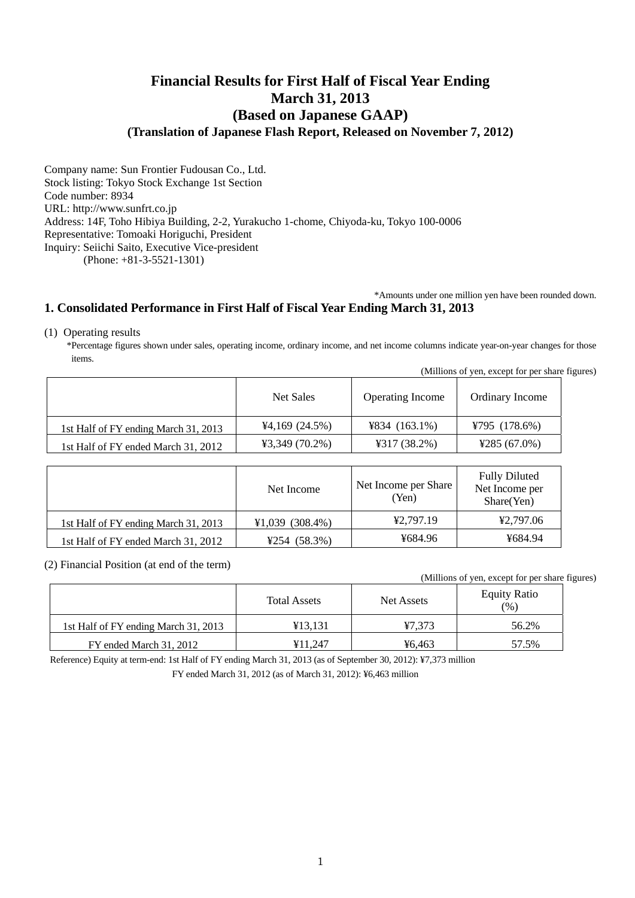# **Financial Results for First Half of Fiscal Year Ending March 31, 2013 (Based on Japanese GAAP) (Translation of Japanese Flash Report, Released on November 7, 2012)**

Company name: Sun Frontier Fudousan Co., Ltd. Stock listing: Tokyo Stock Exchange 1st Section Code number: 8934 URL: http://www.sunfrt.co.jp Address: 14F, Toho Hibiya Building, 2-2, Yurakucho 1-chome, Chiyoda-ku, Tokyo 100-0006 Representative: Tomoaki Horiguchi, President Inquiry: Seiichi Saito, Executive Vice-president (Phone: +81-3-5521-1301)

\*Amounts under one million yen have been rounded down.

# **1. Consolidated Performance in First Half of Fiscal Year Ending March 31, 2013**

(1) Operating results

\*Percentage figures shown under sales, operating income, ordinary income, and net income columns indicate year-on-year changes for those items.

|                                      |                  |                         | (Millions of yen, except for per share figures) |  |
|--------------------------------------|------------------|-------------------------|-------------------------------------------------|--|
|                                      | Net Sales        | <b>Operating Income</b> | Ordinary Income                                 |  |
| 1st Half of FY ending March 31, 2013 | 44,169(24.5%)    | $4834 (163.1\%)$        | ¥795 $(178.6%)$                                 |  |
| 1st Half of FY ended March 31, 2012  | $43,349(70.2\%)$ | 4317(38.2%)             | ¥285 $(67.0\%)$                                 |  |

|                                      | Net Income     | Net Income per Share<br>(Yen) | <b>Fully Diluted</b><br>Net Income per<br>Share(Yen) |
|--------------------------------------|----------------|-------------------------------|------------------------------------------------------|
| 1st Half of FY ending March 31, 2013 | ¥1,039(308.4%) | ¥2,797.19                     | ¥2.797.06                                            |
| 1st Half of FY ended March 31, 2012  | ¥254 $(58.3%)$ | ¥684.96                       | ¥684.94                                              |

(2) Financial Position (at end of the term)

(Millions of yen, except for per share figures)

|                                      | <b>Total Assets</b> | Net Assets | <b>Equity Ratio</b><br>(% ) |
|--------------------------------------|---------------------|------------|-----------------------------|
| 1st Half of FY ending March 31, 2013 | ¥13.131             | ¥7.373     | 56.2%                       |
| FY ended March 31, 2012              | ¥11.247             | ¥6.463     | 57.5%                       |

Reference) Equity at term-end: 1st Half of FY ending March 31, 2013 (as of September 30, 2012): ¥7,373 million

FY ended March 31, 2012 (as of March 31, 2012): ¥6,463 million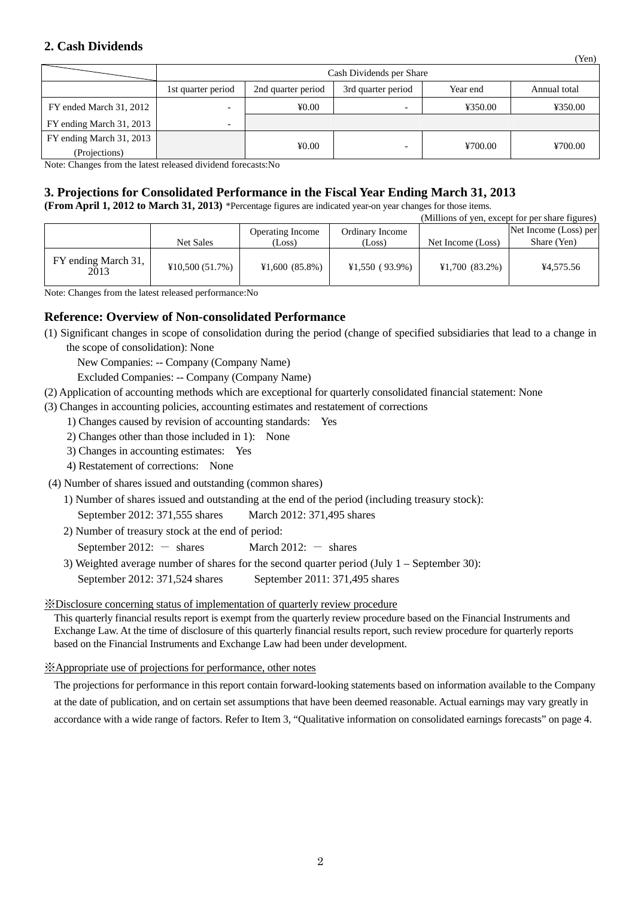## **2. Cash Dividends**

|                          | Cash Dividends per Share |                    |                    |          |              |
|--------------------------|--------------------------|--------------------|--------------------|----------|--------------|
|                          | 1st quarter period       | 2nd quarter period | 3rd quarter period | Year end | Annual total |
| FY ended March 31, 2012  |                          | ¥0.00              | -                  | ¥350.00  | ¥350.00      |
| FY ending March 31, 2013 |                          |                    |                    |          |              |
| FY ending March 31, 2013 |                          |                    |                    |          |              |
| (Projections)            |                          | ¥0.00              |                    | ¥700.00  | ¥700.00      |

(Yen)

Note: Changes from the latest released dividend forecasts:No

# **3. Projections for Consolidated Performance in the Fiscal Year Ending March 31, 2013**

**(From April 1, 2012 to March 31, 2013)** \*Percentage figures are indicated year-on year changes for those items.

|                             |                  |                         |                 |                   | (Millions of yen, except for per share figures) |
|-----------------------------|------------------|-------------------------|-----------------|-------------------|-------------------------------------------------|
|                             |                  | <b>Operating Income</b> | Ordinary Income |                   | Net Income (Loss) per                           |
|                             | <b>Net Sales</b> | (Loss)                  | (Loss)          | Net Income (Loss) | Share (Yen)                                     |
| FY ending March 31,<br>2013 | ¥10,500(51.7%)   | ¥1,600(85.8%)           | ¥1,550(93.9%)   | ¥1,700(83.2%)     | ¥4,575.56                                       |

Note: Changes from the latest released performance:No

## **Reference: Overview of Non-consolidated Performance**

(1) Significant changes in scope of consolidation during the period (change of specified subsidiaries that lead to a change in the scope of consolidation): None

New Companies: -- Company (Company Name)

Excluded Companies: -- Company (Company Name)

- (2) Application of accounting methods which are exceptional for quarterly consolidated financial statement: None
- (3) Changes in accounting policies, accounting estimates and restatement of corrections
	- 1) Changes caused by revision of accounting standards: Yes
	- 2) Changes other than those included in 1): None
	- 3) Changes in accounting estimates: Yes
	- 4) Restatement of corrections: None
- (4) Number of shares issued and outstanding (common shares)
	- 1) Number of shares issued and outstanding at the end of the period (including treasury stock):

September 2012: 371,555 shares March 2012: 371,495 shares

- 2) Number of treasury stock at the end of period:
	- September 2012:  $-$  shares March 2012:  $-$  shares
- 3) Weighted average number of shares for the second quarter period (July 1 September 30): September 2012: 371,524 shares September 2011: 371,495 shares

## ※Disclosure concerning status of implementation of quarterly review procedure

This quarterly financial results report is exempt from the quarterly review procedure based on the Financial Instruments and Exchange Law. At the time of disclosure of this quarterly financial results report, such review procedure for quarterly reports based on the Financial Instruments and Exchange Law had been under development.

## ※Appropriate use of projections for performance, other notes

The projections for performance in this report contain forward-looking statements based on information available to the Company at the date of publication, and on certain set assumptions that have been deemed reasonable. Actual earnings may vary greatly in accordance with a wide range of factors. Refer to Item 3, "Qualitative information on consolidated earnings forecasts" on page 4.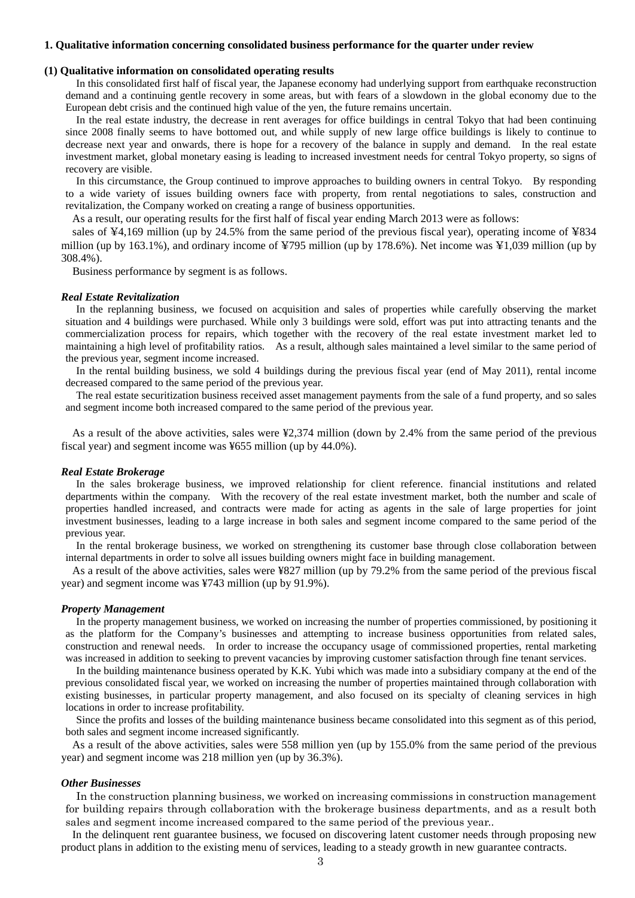### **1. Qualitative information concerning consolidated business performance for the quarter under review**

#### **(1) Qualitative information on consolidated operating results**

In this consolidated first half of fiscal year, the Japanese economy had underlying support from earthquake reconstruction demand and a continuing gentle recovery in some areas, but with fears of a slowdown in the global economy due to the European debt crisis and the continued high value of the yen, the future remains uncertain.

In the real estate industry, the decrease in rent averages for office buildings in central Tokyo that had been continuing since 2008 finally seems to have bottomed out, and while supply of new large office buildings is likely to continue to decrease next year and onwards, there is hope for a recovery of the balance in supply and demand. In the real estate investment market, global monetary easing is leading to increased investment needs for central Tokyo property, so signs of recovery are visible.

In this circumstance, the Group continued to improve approaches to building owners in central Tokyo. By responding to a wide variety of issues building owners face with property, from rental negotiations to sales, construction and revitalization, the Company worked on creating a range of business opportunities.

As a result, our operating results for the first half of fiscal year ending March 2013 were as follows:

sales of ¥4,169 million (up by 24.5% from the same period of the previous fiscal year), operating income of ¥834 million (up by 163.1%), and ordinary income of ¥795 million (up by 178.6%). Net income was ¥1,039 million (up by 308.4%).

Business performance by segment is as follows.

#### *Real Estate Revitalization*

In the replanning business, we focused on acquisition and sales of properties while carefully observing the market situation and 4 buildings were purchased. While only 3 buildings were sold, effort was put into attracting tenants and the commercialization process for repairs, which together with the recovery of the real estate investment market led to maintaining a high level of profitability ratios. As a result, although sales maintained a level similar to the same period of the previous year, segment income increased.

In the rental building business, we sold 4 buildings during the previous fiscal year (end of May 2011), rental income decreased compared to the same period of the previous year.

The real estate securitization business received asset management payments from the sale of a fund property, and so sales and segment income both increased compared to the same period of the previous year.

As a result of the above activities, sales were ¥2,374 million (down by 2.4% from the same period of the previous fiscal year) and segment income was ¥655 million (up by 44.0%).

#### *Real Estate Brokerage*

In the sales brokerage business, we improved relationship for client reference. financial institutions and related departments within the company. With the recovery of the real estate investment market, both the number and scale of properties handled increased, and contracts were made for acting as agents in the sale of large properties for joint investment businesses, leading to a large increase in both sales and segment income compared to the same period of the previous year.

In the rental brokerage business, we worked on strengthening its customer base through close collaboration between internal departments in order to solve all issues building owners might face in building management.

As a result of the above activities, sales were ¥827 million (up by 79.2% from the same period of the previous fiscal year) and segment income was ¥743 million (up by 91.9%).

#### *Property Management*

In the property management business, we worked on increasing the number of properties commissioned, by positioning it as the platform for the Company's businesses and attempting to increase business opportunities from related sales, construction and renewal needs. In order to increase the occupancy usage of commissioned properties, rental marketing was increased in addition to seeking to prevent vacancies by improving customer satisfaction through fine tenant services.

In the building maintenance business operated by K.K. Yubi which was made into a subsidiary company at the end of the previous consolidated fiscal year, we worked on increasing the number of properties maintained through collaboration with existing businesses, in particular property management, and also focused on its specialty of cleaning services in high locations in order to increase profitability.

Since the profits and losses of the building maintenance business became consolidated into this segment as of this period, both sales and segment income increased significantly.

As a result of the above activities, sales were 558 million yen (up by 155.0% from the same period of the previous year) and segment income was 218 million yen (up by 36.3%).

#### *Other Businesses*

In the construction planning business, we worked on increasing commissions in construction management for building repairs through collaboration with the brokerage business departments, and as a result both sales and segment income increased compared to the same period of the previous year..

In the delinquent rent guarantee business, we focused on discovering latent customer needs through proposing new product plans in addition to the existing menu of services, leading to a steady growth in new guarantee contracts.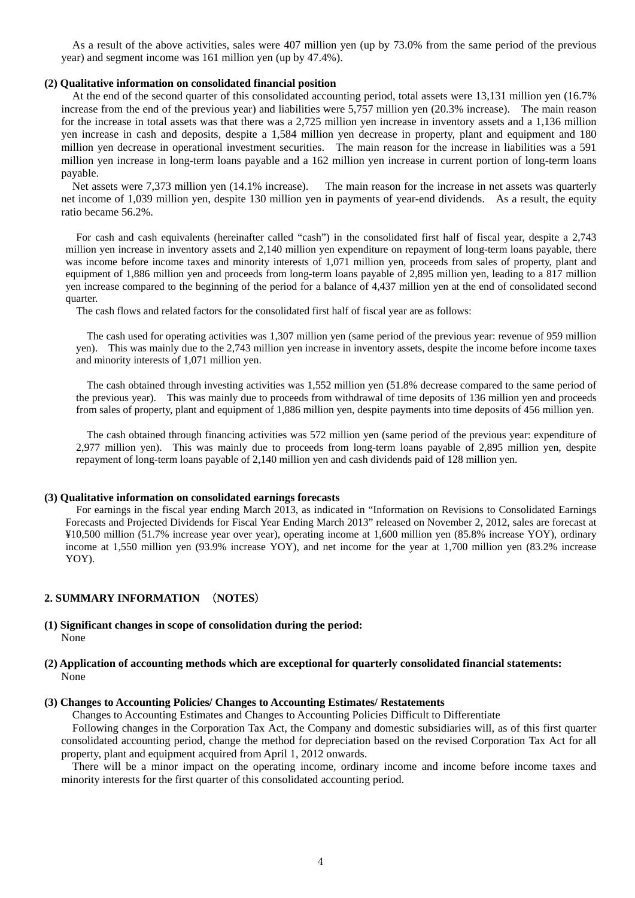As a result of the above activities, sales were 407 million yen (up by 73.0% from the same period of the previous year) and segment income was 161 million yen (up by 47.4%).

#### **(2) Qualitative information on consolidated financial position**

At the end of the second quarter of this consolidated accounting period, total assets were 13,131 million yen (16.7% increase from the end of the previous year) and liabilities were 5,757 million yen (20.3% increase). The main reason for the increase in total assets was that there was a 2,725 million yen increase in inventory assets and a 1,136 million yen increase in cash and deposits, despite a 1,584 million yen decrease in property, plant and equipment and 180 million yen decrease in operational investment securities. The main reason for the increase in liabilities was a 591 million yen increase in long-term loans payable and a 162 million yen increase in current portion of long-term loans payable.

Net assets were 7,373 million yen (14.1% increase). The main reason for the increase in net assets was quarterly net income of 1,039 million yen, despite 130 million yen in payments of year-end dividends. As a result, the equity ratio became 56.2%.

For cash and cash equivalents (hereinafter called "cash") in the consolidated first half of fiscal year, despite a 2,743 million yen increase in inventory assets and 2,140 million yen expenditure on repayment of long-term loans payable, there was income before income taxes and minority interests of 1,071 million yen, proceeds from sales of property, plant and equipment of 1,886 million yen and proceeds from long-term loans payable of 2,895 million yen, leading to a 817 million yen increase compared to the beginning of the period for a balance of 4,437 million yen at the end of consolidated second quarter.

The cash flows and related factors for the consolidated first half of fiscal year are as follows:

The cash used for operating activities was 1,307 million yen (same period of the previous year: revenue of 959 million yen). This was mainly due to the 2,743 million yen increase in inventory assets, despite the income before income taxes and minority interests of 1,071 million yen.

The cash obtained through investing activities was 1,552 million yen (51.8% decrease compared to the same period of the previous year). This was mainly due to proceeds from withdrawal of time deposits of 136 million yen and proceeds from sales of property, plant and equipment of 1,886 million yen, despite payments into time deposits of 456 million yen.

The cash obtained through financing activities was 572 million yen (same period of the previous year: expenditure of 2,977 million yen). This was mainly due to proceeds from long-term loans payable of 2,895 million yen, despite repayment of long-term loans payable of 2,140 million yen and cash dividends paid of 128 million yen.

### **(3) Qualitative information on consolidated earnings forecasts**

For earnings in the fiscal year ending March 2013, as indicated in "Information on Revisions to Consolidated Earnings Forecasts and Projected Dividends for Fiscal Year Ending March 2013" released on November 2, 2012, sales are forecast at ¥10,500 million (51.7% increase year over year), operating income at 1,600 million yen (85.8% increase YOY), ordinary income at 1,550 million yen (93.9% increase YOY), and net income for the year at 1,700 million yen (83.2% increase YOY).

## **2. SUMMARY INFORMATION** (**NOTES**)

#### **(1) Significant changes in scope of consolidation during the period:**  None

### **(2) Application of accounting methods which are exceptional for quarterly consolidated financial statements:**  None

#### **(3) Changes to Accounting Policies/ Changes to Accounting Estimates/ Restatements**

Changes to Accounting Estimates and Changes to Accounting Policies Difficult to Differentiate

Following changes in the Corporation Tax Act, the Company and domestic subsidiaries will, as of this first quarter consolidated accounting period, change the method for depreciation based on the revised Corporation Tax Act for all property, plant and equipment acquired from April 1, 2012 onwards.

There will be a minor impact on the operating income, ordinary income and income before income taxes and minority interests for the first quarter of this consolidated accounting period.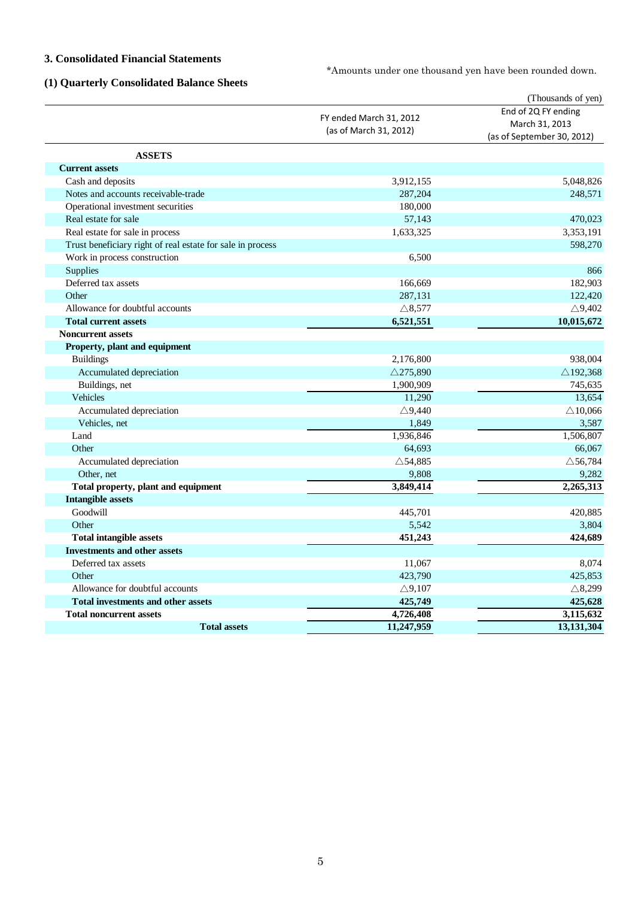## **3. Consolidated Financial Statements**

\*Amounts under one thousand yen have been rounded down.

# **(1) Quarterly Consolidated Balance Sheets**

|                                                            |                         | (Thousands of yen)         |
|------------------------------------------------------------|-------------------------|----------------------------|
|                                                            | FY ended March 31, 2012 | End of 2Q FY ending        |
|                                                            | (as of March 31, 2012)  | March 31, 2013             |
|                                                            |                         | (as of September 30, 2012) |
| <b>ASSETS</b>                                              |                         |                            |
| <b>Current assets</b>                                      |                         |                            |
| Cash and deposits                                          | 3,912,155               | 5,048,826                  |
| Notes and accounts receivable-trade                        | 287,204                 | 248,571                    |
| Operational investment securities                          | 180,000                 |                            |
| Real estate for sale                                       | 57,143                  | 470,023                    |
| Real estate for sale in process                            | 1,633,325               | 3,353,191                  |
| Trust beneficiary right of real estate for sale in process |                         | 598,270                    |
| Work in process construction                               | 6,500                   |                            |
| <b>Supplies</b>                                            |                         | 866                        |
| Deferred tax assets                                        | 166,669                 | 182,903                    |
| Other                                                      | 287,131                 | 122,420                    |
| Allowance for doubtful accounts                            | $\triangle$ 8,577       | $\triangle$ 9,402          |
| <b>Total current assets</b>                                | 6,521,551               | 10,015,672                 |
| <b>Noncurrent assets</b>                                   |                         |                            |
| Property, plant and equipment                              |                         |                            |
| <b>Buildings</b>                                           | 2,176,800               | 938,004                    |
| Accumulated depreciation                                   | $\triangle$ 275,890     | $\triangle$ 192,368        |
| Buildings, net                                             | 1,900,909               | 745,635                    |
| <b>Vehicles</b>                                            | 11,290                  | 13,654                     |
| Accumulated depreciation                                   | $\triangle$ 9,440       | $\triangle$ 10,066         |
| Vehicles, net                                              | 1,849                   | 3,587                      |
| Land                                                       | 1,936,846               | 1,506,807                  |
| Other                                                      | 64,693                  | 66,067                     |
| Accumulated depreciation                                   | $\triangle$ 54,885      | $\triangle$ 56,784         |
| Other, net                                                 | 9,808                   | 9,282                      |
| Total property, plant and equipment                        | 3,849,414               | 2,265,313                  |
| <b>Intangible assets</b>                                   |                         |                            |
| Goodwill                                                   | 445,701                 | 420,885                    |
| Other                                                      | 5,542                   | 3,804                      |
| <b>Total intangible assets</b>                             | 451,243                 | 424,689                    |
| <b>Investments and other assets</b>                        |                         |                            |
| Deferred tax assets                                        | 11,067                  | 8,074                      |
| Other                                                      | 423,790                 | 425,853                    |
| Allowance for doubtful accounts                            | $\triangle$ 9,107       | $\triangle$ 8,299          |
| <b>Total investments and other assets</b>                  | 425,749                 | 425,628                    |
| <b>Total noncurrent assets</b>                             | 4,726,408               | 3,115,632                  |
| <b>Total assets</b>                                        | 11,247,959              | 13,131,304                 |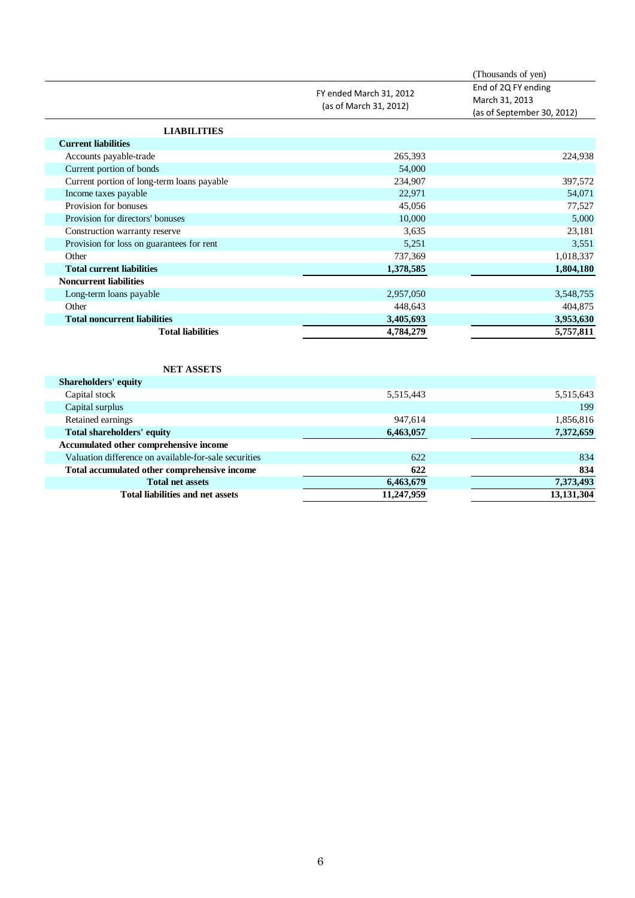|                                            | FY ended March 31, 2012<br>(as of March 31, 2012) | (Thousands of yen)<br>End of 2Q FY ending<br>March 31, 2013<br>(as of September 30, 2012) |
|--------------------------------------------|---------------------------------------------------|-------------------------------------------------------------------------------------------|
| <b>LIABILITIES</b>                         |                                                   |                                                                                           |
| <b>Current liabilities</b>                 |                                                   |                                                                                           |
| Accounts payable-trade                     | 265,393                                           | 224,938                                                                                   |
| Current portion of bonds                   | 54,000                                            |                                                                                           |
| Current portion of long-term loans payable | 234,907                                           | 397,572                                                                                   |
| Income taxes payable                       | 22,971                                            | 54,071                                                                                    |
| Provision for bonuses                      | 45,056                                            | 77,527                                                                                    |
| Provision for directors' bonuses           | 10,000                                            | 5,000                                                                                     |
| Construction warranty reserve              | 3,635                                             | 23,181                                                                                    |
| Provision for loss on guarantees for rent  | 5,251                                             | 3,551                                                                                     |
| Other                                      | 737,369                                           | 1,018,337                                                                                 |
| <b>Total current liabilities</b>           | 1,378,585                                         | 1,804,180                                                                                 |
| <b>Noncurrent liabilities</b>              |                                                   |                                                                                           |
| Long-term loans payable                    | 2,957,050                                         | 3,548,755                                                                                 |
| Other                                      | 448,643                                           | 404,875                                                                                   |
| <b>Total noncurrent liabilities</b>        | 3,405,693                                         | 3,953,630                                                                                 |
| <b>Total liabilities</b>                   | 4,784,279                                         | 5,757,811                                                                                 |

| Capital stock                                         | 5,515,443  | 5,515,643  |
|-------------------------------------------------------|------------|------------|
| Capital surplus                                       |            | 199        |
| Retained earnings                                     | 947.614    | 1,856,816  |
| Total shareholders' equity                            | 6,463,057  | 7,372,659  |
| Accumulated other comprehensive income                |            |            |
| Valuation difference on available-for-sale securities | 622        | 834        |
| Total accumulated other comprehensive income          | 622        | 834        |
| <b>Total net assets</b>                               | 6,463,679  | 7,373,493  |
| <b>Total liabilities and net assets</b>               | 11,247,959 | 13,131,304 |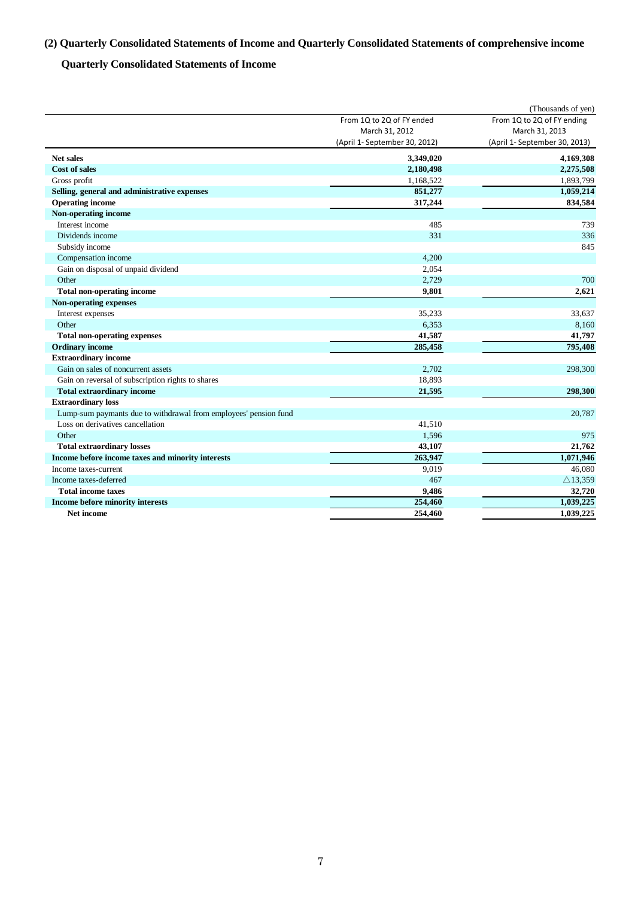# **(2) Quarterly Consolidated Statements of Income and Quarterly Consolidated Statements of comprehensive income**

# **Quarterly Consolidated Statements of Income**

|                                                                  |                               | (Thousands of yen)            |
|------------------------------------------------------------------|-------------------------------|-------------------------------|
|                                                                  | From 1Q to 2Q of FY ended     | From 1Q to 2Q of FY ending    |
|                                                                  | March 31, 2012                | March 31, 2013                |
|                                                                  | (April 1- September 30, 2012) | (April 1- September 30, 2013) |
| <b>Net sales</b>                                                 | 3,349,020                     | 4,169,308                     |
| <b>Cost of sales</b>                                             | 2,180,498                     | 2,275,508                     |
| Gross profit                                                     | 1,168,522                     | 1,893,799                     |
| Selling, general and administrative expenses                     | 851,277                       | 1,059,214                     |
| <b>Operating income</b>                                          | 317,244                       | 834,584                       |
| Non-operating income                                             |                               |                               |
| Interest income                                                  | 485                           | 739                           |
| Dividends income                                                 | 331                           | 336                           |
| Subsidy income                                                   |                               | 845                           |
| Compensation income                                              | 4,200                         |                               |
| Gain on disposal of unpaid dividend                              | 2,054                         |                               |
| Other                                                            | 2,729                         | 700                           |
| <b>Total non-operating income</b>                                | 9,801                         | 2,621                         |
| <b>Non-operating expenses</b>                                    |                               |                               |
| Interest expenses                                                | 35,233                        | 33,637                        |
| Other                                                            | 6,353                         | 8,160                         |
| <b>Total non-operating expenses</b>                              | 41,587                        | 41,797                        |
| <b>Ordinary income</b>                                           | 285,458                       | 795.408                       |
| <b>Extraordinary income</b>                                      |                               |                               |
| Gain on sales of noncurrent assets                               | 2,702                         | 298,300                       |
| Gain on reversal of subscription rights to shares                | 18,893                        |                               |
| <b>Total extraordinary income</b>                                | 21,595                        | 298.300                       |
| <b>Extraordinary loss</b>                                        |                               |                               |
| Lump-sum paymants due to withdrawal from employees' pension fund |                               | 20,787                        |
| Loss on derivatives cancellation                                 | 41,510                        |                               |
| Other                                                            | 1,596                         | 975                           |
| <b>Total extraordinary losses</b>                                | 43,107                        | 21,762                        |
| Income before income taxes and minority interests                | 263,947                       | 1.071.946                     |
| Income taxes-current                                             | 9,019                         | 46,080                        |
| Income taxes-deferred                                            | 467                           | $\triangle$ 13,359            |
| <b>Total income taxes</b>                                        | 9,486                         | 32,720                        |
| Income before minority interests                                 | 254,460                       | 1,039,225                     |
| Net income                                                       | 254,460                       | 1,039,225                     |
|                                                                  |                               |                               |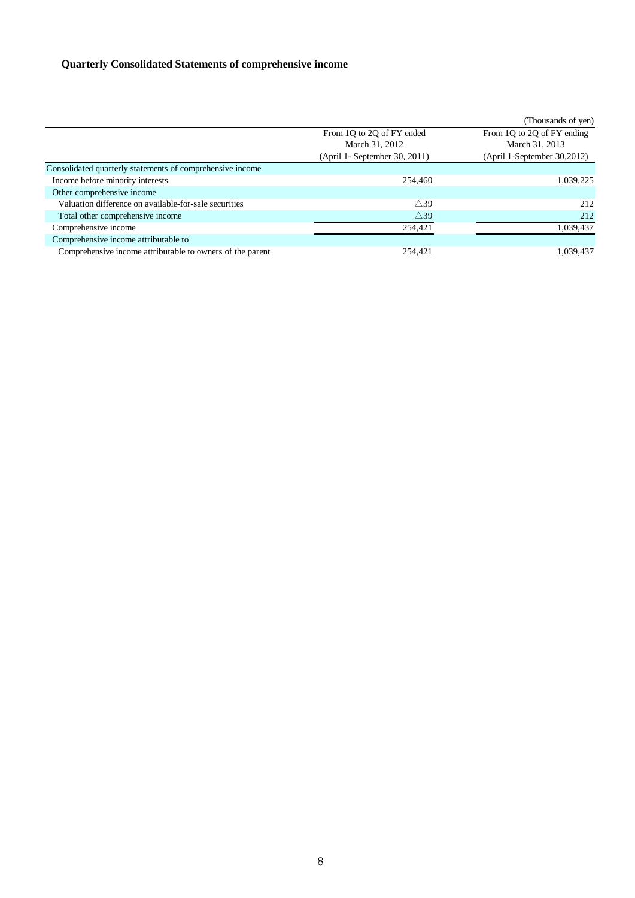# **Quarterly Consolidated Statements of comprehensive income**

|                                                           |                               | (Thousands of yen)          |
|-----------------------------------------------------------|-------------------------------|-----------------------------|
|                                                           | From 1Q to 2Q of FY ended     | From 1Q to 2Q of FY ending  |
|                                                           | March 31, 2012                | March 31, 2013              |
|                                                           | (April 1- September 30, 2011) | (April 1-September 30,2012) |
| Consolidated quarterly statements of comprehensive income |                               |                             |
| Income before minority interests                          | 254,460                       | 1,039,225                   |
| Other comprehensive income                                |                               |                             |
| Valuation difference on available-for-sale securities     | $\wedge$ 39                   | 212                         |
| Total other comprehensive income                          | $\triangle$ 39                | 212                         |
| Comprehensive income                                      | 254,421                       | 1,039,437                   |
| Comprehensive income attributable to                      |                               |                             |
| Comprehensive income attributable to owners of the parent | 254,421                       | 1,039,437                   |